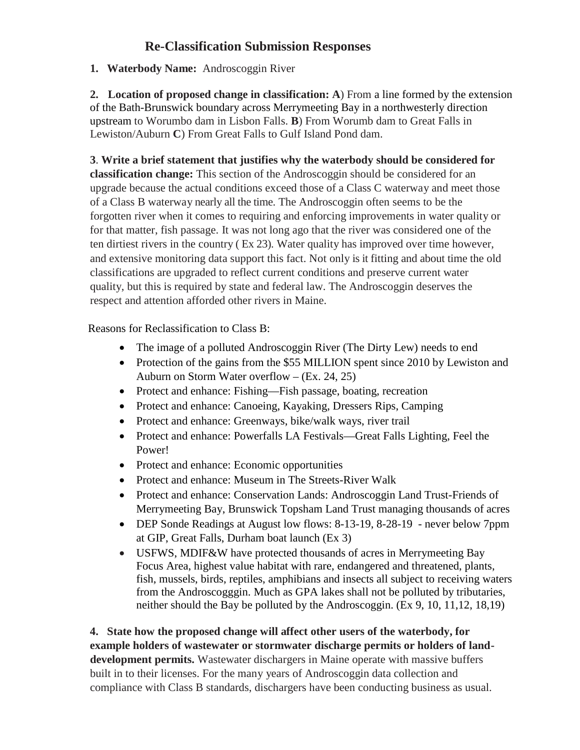## **Re-Classification Submission Responses**

## **1. Waterbody Name:** Androscoggin River

**2. Location of proposed change in classification: A**) From a line formed by the extension of the Bath-Brunswick boundary across Merrymeeting Bay in a northwesterly direction upstream to Worumbo dam in Lisbon Falls. **B**) From Worumb dam to Great Falls in Lewiston/Auburn **C**) From Great Falls to Gulf Island Pond dam.

**3**. **Write a brief statement that justifies why the waterbody should be considered for classification change:** This section of the Androscoggin should be considered for an upgrade because the actual conditions exceed those of a Class C waterway and meet those of a Class B waterway nearly all the time. The Androscoggin often seems to be the forgotten river when it comes to requiring and enforcing improvements in water quality or for that matter, fish passage. It was not long ago that the river was considered one of the ten dirtiest rivers in the country ( Ex 23). Water quality has improved over time however, and extensive monitoring data support this fact. Not only is it fitting and about time the old classifications are upgraded to reflect current conditions and preserve current water quality, but this is required by state and federal law. The Androscoggin deserves the respect and attention afforded other rivers in Maine.

Reasons for Reclassification to Class B:

- The image of a polluted Androscoggin River (The Dirty Lew) needs to end
- Protection of the gains from the \$55 MILLION spent since 2010 by Lewiston and Auburn on Storm Water overflow –  $(Ex. 24, 25)$
- Protect and enhance: Fishing—Fish passage, boating, recreation
- Protect and enhance: Canoeing, Kayaking, Dressers Rips, Camping
- Protect and enhance: Greenways, bike/walk ways, river trail
- Protect and enhance: Powerfalls LA Festivals—Great Falls Lighting, Feel the Power!
- Protect and enhance: Economic opportunities
- Protect and enhance: Museum in The Streets-River Walk
- Protect and enhance: Conservation Lands: Androscoggin Land Trust-Friends of Merrymeeting Bay, Brunswick Topsham Land Trust managing thousands of acres
- DEP Sonde Readings at August low flows: 8-13-19, 8-28-19 never below 7ppm at GIP, Great Falls, Durham boat launch (Ex 3)
- USFWS, MDIF&W have protected thousands of acres in Merrymeeting Bay Focus Area, highest value habitat with rare, endangered and threatened, plants, fish, mussels, birds, reptiles, amphibians and insects all subject to receiving waters from the Androscogggin. Much as GPA lakes shall not be polluted by tributaries, neither should the Bay be polluted by the Androscoggin. (Ex 9, 10, 11,12, 18,19)

**4. State how the proposed change will affect other users of the waterbody, for example holders of wastewater or stormwater discharge permits or holders of landdevelopment permits.** Wastewater dischargers in Maine operate with massive buffers built in to their licenses. For the many years of Androscoggin data collection and compliance with Class B standards, dischargers have been conducting business as usual.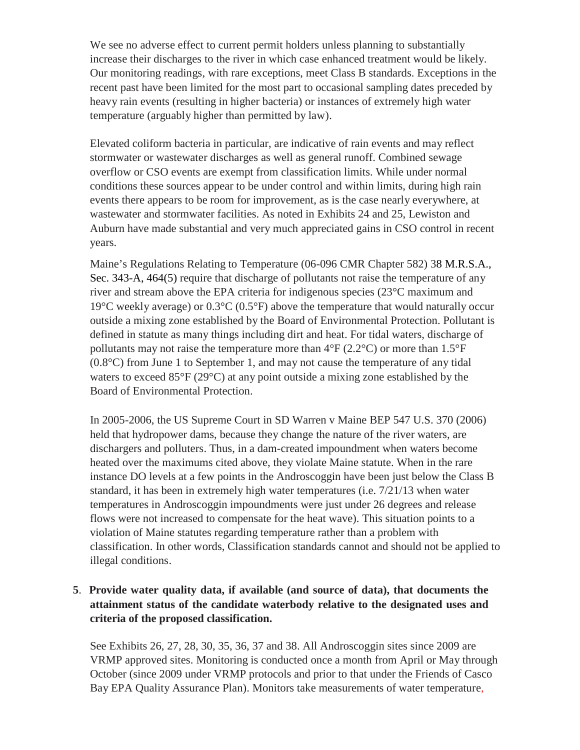We see no adverse effect to current permit holders unless planning to substantially increase their discharges to the river in which case enhanced treatment would be likely. Our monitoring readings, with rare exceptions, meet Class B standards. Exceptions in the recent past have been limited for the most part to occasional sampling dates preceded by heavy rain events (resulting in higher bacteria) or instances of extremely high water temperature (arguably higher than permitted by law).

Elevated coliform bacteria in particular, are indicative of rain events and may reflect stormwater or wastewater discharges as well as general runoff. Combined sewage overflow or CSO events are exempt from classification limits. While under normal conditions these sources appear to be under control and within limits, during high rain events there appears to be room for improvement, as is the case nearly everywhere, at wastewater and stormwater facilities. As noted in Exhibits 24 and 25, Lewiston and Auburn have made substantial and very much appreciated gains in CSO control in recent years.

Maine's Regulations Relating to Temperature (06-096 CMR Chapter 582) 38 M.R.S.A., Sec. 343-A, 464(5) require that discharge of pollutants not raise the temperature of any river and stream above the EPA criteria for indigenous species (23°C maximum and 19 $\rm{^{\circ}C}$  weekly average) or 0.3 $\rm{^{\circ}C}$  (0.5 $\rm{^{\circ}F}$ ) above the temperature that would naturally occur outside a mixing zone established by the Board of Environmental Protection. Pollutant is defined in statute as many things including dirt and heat. For tidal waters, discharge of pollutants may not raise the temperature more than  $4^{\circ}F(2.2^{\circ}C)$  or more than  $1.5^{\circ}F$ (0.8°C) from June 1 to September 1, and may not cause the temperature of any tidal waters to exceed  $85^{\circ}F(29^{\circ}C)$  at any point outside a mixing zone established by the Board of Environmental Protection.

In 2005-2006, the US Supreme Court in SD Warren v Maine BEP 547 U.S. 370 (2006) held that hydropower dams, because they change the nature of the river waters, are dischargers and polluters. Thus, in a dam-created impoundment when waters become heated over the maximums cited above, they violate Maine statute. When in the rare instance DO levels at a few points in the Androscoggin have been just below the Class B standard, it has been in extremely high water temperatures (i.e. 7/21/13 when water temperatures in Androscoggin impoundments were just under 26 degrees and release flows were not increased to compensate for the heat wave). This situation points to a violation of Maine statutes regarding temperature rather than a problem with classification. In other words, Classification standards cannot and should not be applied to illegal conditions.

## **5**. **Provide water quality data, if available (and source of data), that documents the attainment status of the candidate waterbody relative to the designated uses and criteria of the proposed classification.**

See Exhibits 26, 27, 28, 30, 35, 36, 37 and 38. All Androscoggin sites since 2009 are VRMP approved sites. Monitoring is conducted once a month from April or May through October (since 2009 under VRMP protocols and prior to that under the Friends of Casco Bay EPA Quality Assurance Plan). Monitors take measurements of water temperature,